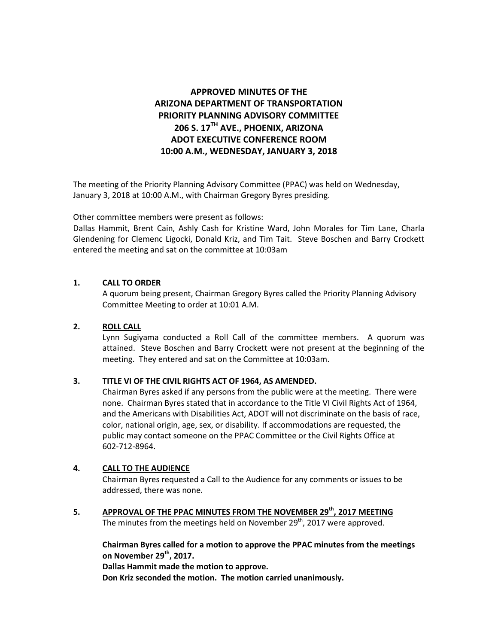# **APPROVED MINUTES OF THE ARIZONA DEPARTMENT OF TRANSPORTATION PRIORITY PLANNING ADVISORY COMMITTEE 206 S. 17TH AVE., PHOENIX, ARIZONA ADOT EXECUTIVE CONFERENCE ROOM 10:00 A.M., WEDNESDAY, JANUARY 3, 2018**

The meeting of the Priority Planning Advisory Committee (PPAC) was held on Wednesday, January 3, 2018 at 10:00 A.M., with Chairman Gregory Byres presiding.

Other committee members were present as follows:

Dallas Hammit, Brent Cain, Ashly Cash for Kristine Ward, John Morales for Tim Lane, Charla Glendening for Clemenc Ligocki, Donald Kriz, and Tim Tait. Steve Boschen and Barry Crockett entered the meeting and sat on the committee at 10:03am

### **1. CALL TO ORDER**

A quorum being present, Chairman Gregory Byres called the Priority Planning Advisory Committee Meeting to order at 10:01 A.M.

### **2. ROLL CALL**

Lynn Sugiyama conducted a Roll Call of the committee members. A quorum was attained. Steve Boschen and Barry Crockett were not present at the beginning of the meeting. They entered and sat on the Committee at 10:03am.

### **3. TITLE VI OF THE CIVIL RIGHTS ACT OF 1964, AS AMENDED.**

Chairman Byres asked if any persons from the public were at the meeting. There were none. Chairman Byres stated that in accordance to the Title VI Civil Rights Act of 1964, and the Americans with Disabilities Act, ADOT will not discriminate on the basis of race, color, national origin, age, sex, or disability. If accommodations are requested, the public may contact someone on the PPAC Committee or the Civil Rights Office at 602-712-8964.

### **4. CALL TO THE AUDIENCE**

Chairman Byres requested a Call to the Audience for any comments or issues to be addressed, there was none.

**5. APPROVAL OF THE PPAC MINUTES FROM THE NOVEMBER 29th, 2017 MEETING** The minutes from the meetings held on November 29<sup>th</sup>, 2017 were approved.

**Chairman Byres called for a motion to approve the PPAC minutes from the meetings on November 29th, 2017.** 

**Dallas Hammit made the motion to approve.** 

**Don Kriz seconded the motion. The motion carried unanimously.**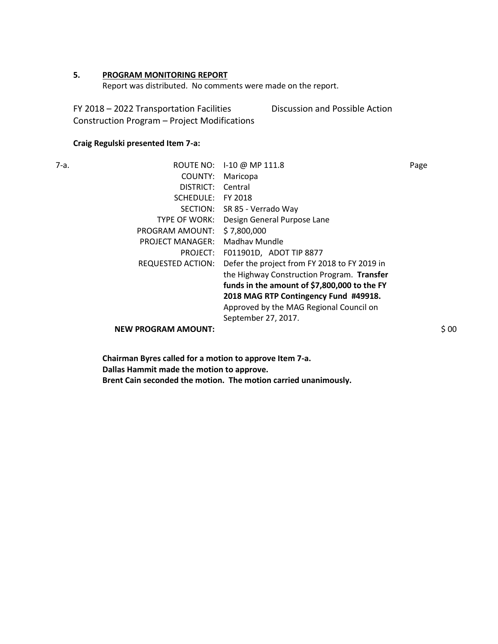### **5. PROGRAM MONITORING REPORT**

Report was distributed. No comments were made on the report.

FY 2018 – 2022 Transportation Facilities Construction Program – Project Modifications Discussion and Possible Action

### **Craig Regulski presented Item 7-a:**

| 7-a. | ROUTE NO:                  | I-10 @ MP 111.8                              | Page |
|------|----------------------------|----------------------------------------------|------|
|      | COUNTY:                    | Maricopa                                     |      |
|      | DISTRICT:                  | Central                                      |      |
|      | SCHEDULE:                  | FY 2018                                      |      |
|      | SECTION:                   | SR 85 - Verrado Way                          |      |
|      | <b>TYPE OF WORK:</b>       | Design General Purpose Lane                  |      |
|      | PROGRAM AMOUNT:            | \$7,800,000                                  |      |
|      | <b>PROJECT MANAGER:</b>    | Madhay Mundle                                |      |
|      | PROJECT:                   | F011901D, ADOT TIP 8877                      |      |
|      | REQUESTED ACTION:          | Defer the project from FY 2018 to FY 2019 in |      |
|      |                            | the Highway Construction Program. Transfer   |      |
|      |                            | funds in the amount of \$7,800,000 to the FY |      |
|      |                            | 2018 MAG RTP Contingency Fund #49918.        |      |
|      |                            | Approved by the MAG Regional Council on      |      |
|      |                            | September 27, 2017.                          |      |
|      | <b>NEW PROGRAM AMOUNT:</b> |                                              | \$00 |

**Chairman Byres called for a motion to approve Item 7-a. Dallas Hammit made the motion to approve. Brent Cain seconded the motion. The motion carried unanimously.**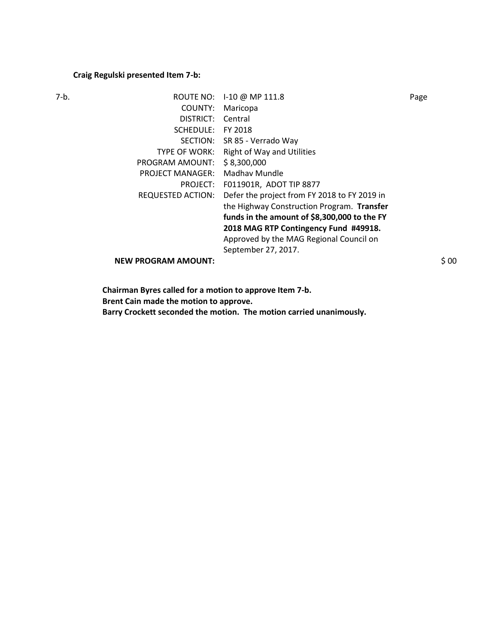## **Craig Regulski presented Item 7-b:**

| 7-b. |                            | ROUTE NO: 1-10 @ MP 111.8                    | Page  |
|------|----------------------------|----------------------------------------------|-------|
|      | COUNTY:                    | Maricopa                                     |       |
|      | DISTRICT:                  | Central                                      |       |
|      | SCHEDULE:                  | FY 2018                                      |       |
|      |                            | SECTION: SR 85 - Verrado Way                 |       |
|      | TYPE OF WORK:              | <b>Right of Way and Utilities</b>            |       |
|      | PROGRAM AMOUNT:            | \$8,300,000                                  |       |
|      | <b>PROJECT MANAGER:</b>    | Madhay Mundle                                |       |
|      | PROJECT:                   | F011901R, ADOT TIP 8877                      |       |
|      | REQUESTED ACTION:          | Defer the project from FY 2018 to FY 2019 in |       |
|      |                            | the Highway Construction Program. Transfer   |       |
|      |                            | funds in the amount of \$8,300,000 to the FY |       |
|      |                            | 2018 MAG RTP Contingency Fund #49918.        |       |
|      |                            | Approved by the MAG Regional Council on      |       |
|      |                            | September 27, 2017.                          |       |
|      | <b>NEW PROGRAM AMOUNT:</b> |                                              | \$ 00 |
|      |                            |                                              |       |

**Chairman Byres called for a motion to approve Item 7-b. Brent Cain made the motion to approve. Barry Crockett seconded the motion. The motion carried unanimously.**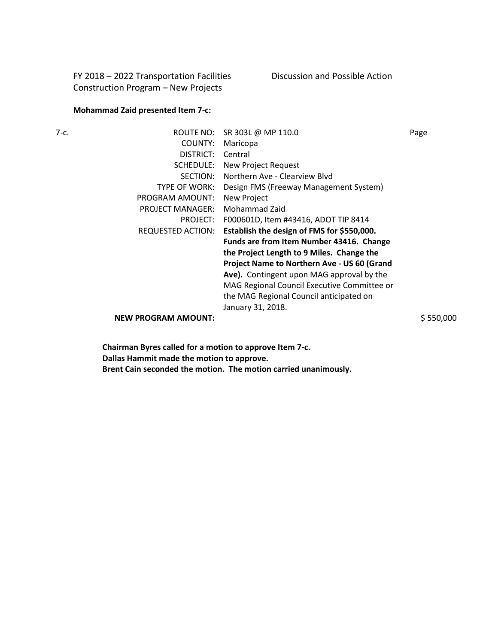FY 2018 – 2022 Transportation Facilities Construction Program – New Projects

### **Mohammad Zaid presented Item 7-c:**

| 7-с. | ROUTE NO:                  | SR 303L @ MP 110.0                          | Page      |
|------|----------------------------|---------------------------------------------|-----------|
|      | COUNTY:                    | Maricopa                                    |           |
|      | DISTRICT:                  | Central                                     |           |
|      | SCHEDULE:                  | New Project Request                         |           |
|      | SECTION:                   | Northern Ave - Clearview Blyd               |           |
|      | TYPE OF WORK:              | Design FMS (Freeway Management System)      |           |
|      | PROGRAM AMOUNT:            | New Project                                 |           |
|      | <b>PROJECT MANAGER:</b>    | Mohammad Zaid                               |           |
|      | PROJECT:                   | F000601D, Item #43416, ADOT TIP 8414        |           |
|      | REQUESTED ACTION:          | Establish the design of FMS for \$550,000.  |           |
|      |                            | Funds are from Item Number 43416. Change    |           |
|      |                            | the Project Length to 9 Miles. Change the   |           |
|      |                            | Project Name to Northern Ave - US 60 (Grand |           |
|      |                            | Ave). Contingent upon MAG approval by the   |           |
|      |                            | MAG Regional Council Executive Committee or |           |
|      |                            | the MAG Regional Council anticipated on     |           |
|      |                            | January 31, 2018.                           |           |
|      | <b>NEW PROGRAM AMOUNT:</b> |                                             | \$550,000 |

**Chairman Byres called for a motion to approve Item 7-c. Dallas Hammit made the motion to approve. Brent Cain seconded the motion. The motion carried unanimously.**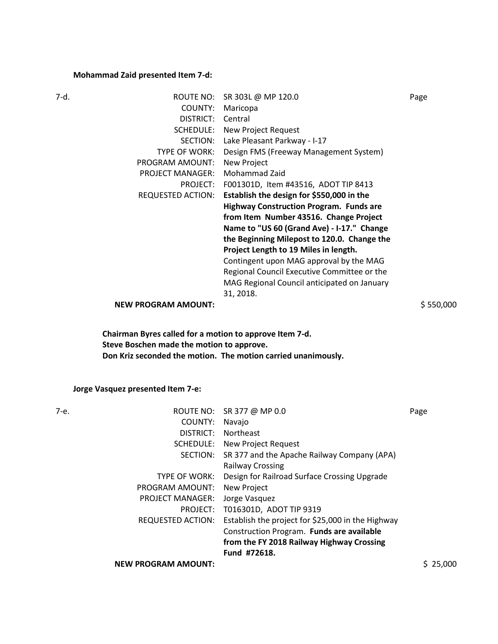## **Mohammad Zaid presented Item 7-d:**

| 7-d. | ROUTE NO:                  | SR 303L @ MP 120.0                             | Page      |
|------|----------------------------|------------------------------------------------|-----------|
|      | COUNTY:                    | Maricopa                                       |           |
|      | DISTRICT:                  | Central                                        |           |
|      | SCHEDULE:                  | New Project Request                            |           |
|      | SECTION:                   | Lake Pleasant Parkway - I-17                   |           |
|      | TYPE OF WORK:              | Design FMS (Freeway Management System)         |           |
|      | PROGRAM AMOUNT:            | New Project                                    |           |
|      | <b>PROJECT MANAGER:</b>    | Mohammad Zaid                                  |           |
|      | PROJECT:                   | F001301D, Item #43516, ADOT TIP 8413           |           |
|      | <b>REQUESTED ACTION:</b>   | Establish the design for \$550,000 in the      |           |
|      |                            | <b>Highway Construction Program. Funds are</b> |           |
|      |                            | from Item Number 43516. Change Project         |           |
|      |                            | Name to "US 60 (Grand Ave) - I-17." Change     |           |
|      |                            | the Beginning Milepost to 120.0. Change the    |           |
|      |                            | Project Length to 19 Miles in length.          |           |
|      |                            | Contingent upon MAG approval by the MAG        |           |
|      |                            | Regional Council Executive Committee or the    |           |
|      |                            | MAG Regional Council anticipated on January    |           |
|      |                            | 31, 2018.                                      |           |
|      | <b>NEW PROGRAM AMOUNT:</b> |                                                | \$550,000 |

**Chairman Byres called for a motion to approve Item 7-d. Steve Boschen made the motion to approve. Don Kriz seconded the motion. The motion carried unanimously.** 

**Jorge Vasquez presented Item 7-e:**

| 7-е. |                            | ROUTE NO: SR 377 @ MP 0.0                         | Page     |
|------|----------------------------|---------------------------------------------------|----------|
|      | COUNTY:                    | Navajo                                            |          |
|      | DISTRICT:                  | Northeast                                         |          |
|      | SCHEDULE:                  | New Project Request                               |          |
|      | SECTION:                   | SR 377 and the Apache Railway Company (APA)       |          |
|      |                            | <b>Railway Crossing</b>                           |          |
|      | TYPE OF WORK:              | Design for Railroad Surface Crossing Upgrade      |          |
|      | PROGRAM AMOUNT:            | New Project                                       |          |
|      | <b>PROJECT MANAGER:</b>    | Jorge Vasquez                                     |          |
|      | PROJECT:                   | T016301D, ADOT TIP 9319                           |          |
|      | REQUESTED ACTION:          | Establish the project for \$25,000 in the Highway |          |
|      |                            | Construction Program. Funds are available         |          |
|      |                            | from the FY 2018 Railway Highway Crossing         |          |
|      |                            | Fund #72618.                                      |          |
|      | <b>NEW PROGRAM AMOUNT:</b> |                                                   | \$25,000 |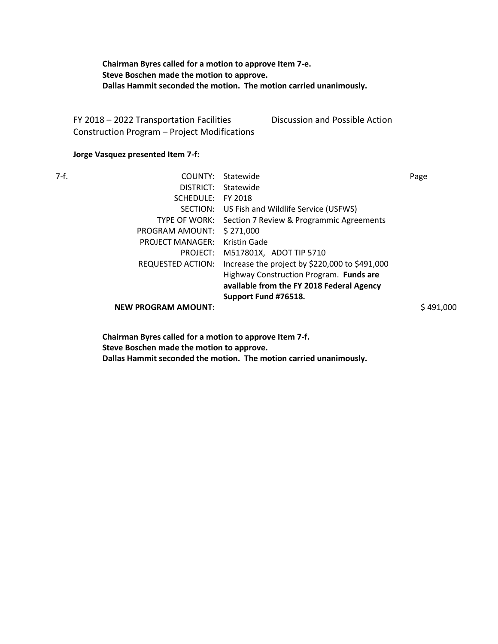**Chairman Byres called for a motion to approve Item 7-e. Steve Boschen made the motion to approve. Dallas Hammit seconded the motion. The motion carried unanimously.** 

FY 2018 – 2022 Transportation Facilities Construction Program – Project Modifications Discussion and Possible Action

### **Jorge Vasquez presented Item 7-f:**

| 7-f. | COUNTY:                    | Statewide                                              | Page      |
|------|----------------------------|--------------------------------------------------------|-----------|
|      |                            | DISTRICT: Statewide                                    |           |
|      | SCHEDULE:                  | FY 2018                                                |           |
|      |                            | SECTION: US Fish and Wildlife Service (USFWS)          |           |
|      |                            | TYPE OF WORK: Section 7 Review & Programmic Agreements |           |
|      | PROGRAM AMOUNT:            | \$271,000                                              |           |
|      | <b>PROJECT MANAGER:</b>    | Kristin Gade                                           |           |
|      | PROJECT:                   | M517801X, ADOT TIP 5710                                |           |
|      | <b>REQUESTED ACTION:</b>   | Increase the project by \$220,000 to \$491,000         |           |
|      |                            | Highway Construction Program. Funds are                |           |
|      |                            | available from the FY 2018 Federal Agency              |           |
|      |                            | Support Fund #76518.                                   |           |
|      | <b>NEW PROGRAM AMOUNT:</b> |                                                        | \$491.000 |

**Chairman Byres called for a motion to approve Item 7-f. Steve Boschen made the motion to approve. Dallas Hammit seconded the motion. The motion carried unanimously.**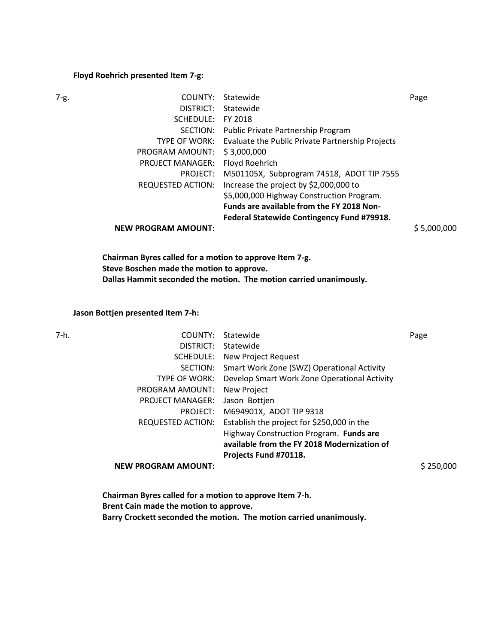#### **Floyd Roehrich presented Item 7-g:**

| 7-g. | COUNTY:                    | Statewide                                        | Page        |
|------|----------------------------|--------------------------------------------------|-------------|
|      | DISTRICT:                  | Statewide                                        |             |
|      | SCHEDULE:                  | FY 2018                                          |             |
|      | SECTION:                   | Public Private Partnership Program               |             |
|      | <b>TYPE OF WORK:</b>       | Evaluate the Public Private Partnership Projects |             |
|      | PROGRAM AMOUNT:            | \$3,000,000                                      |             |
|      | <b>PROJECT MANAGER:</b>    | Floyd Roehrich                                   |             |
|      | PROJECT:                   | M501105X, Subprogram 74518, ADOT TIP 7555        |             |
|      | REQUESTED ACTION:          | Increase the project by \$2,000,000 to           |             |
|      |                            | \$5,000,000 Highway Construction Program.        |             |
|      |                            | Funds are available from the FY 2018 Non-        |             |
|      |                            | Federal Statewide Contingency Fund #79918.       |             |
|      | <b>NEW PROGRAM AMOUNT:</b> |                                                  | \$5,000,000 |
|      |                            |                                                  |             |

**Chairman Byres called for a motion to approve Item 7-g. Steve Boschen made the motion to approve. Dallas Hammit seconded the motion. The motion carried unanimously.** 

### **Jason Bottjen presented Item 7-h:**

| 7-h. | COUNTY:                    | Statewide                                    | Page      |
|------|----------------------------|----------------------------------------------|-----------|
|      | DISTRICT:                  | Statewide                                    |           |
|      | SCHEDULE:                  | New Project Request                          |           |
|      | SECTION:                   | Smart Work Zone (SWZ) Operational Activity   |           |
|      | <b>TYPE OF WORK:</b>       | Develop Smart Work Zone Operational Activity |           |
|      | PROGRAM AMOUNT:            | New Project                                  |           |
|      | <b>PROJECT MANAGER:</b>    | Jason Bottjen                                |           |
|      | PROJECT:                   | M694901X, ADOT TIP 9318                      |           |
|      | <b>REQUESTED ACTION:</b>   | Establish the project for \$250,000 in the   |           |
|      |                            | Highway Construction Program. Funds are      |           |
|      |                            | available from the FY 2018 Modernization of  |           |
|      |                            | Projects Fund #70118.                        |           |
|      | <b>NEW PROGRAM AMOUNT:</b> |                                              | \$250,000 |
|      |                            |                                              |           |

**Chairman Byres called for a motion to approve Item 7-h. Brent Cain made the motion to approve. Barry Crockett seconded the motion. The motion carried unanimously.**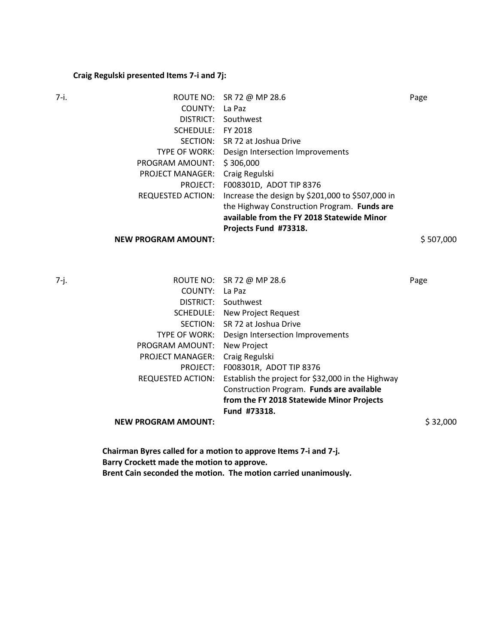## **Craig Regulski presented Items 7-i and 7j:**

| 7-i. |                            | ROUTE NO: SR 72 @ MP 28.6                        | Page      |
|------|----------------------------|--------------------------------------------------|-----------|
|      | COUNTY:                    | La Paz                                           |           |
|      | DISTRICT:                  | Southwest                                        |           |
|      | SCHEDULE: FY 2018          |                                                  |           |
|      |                            | SECTION: SR 72 at Joshua Drive                   |           |
|      | TYPE OF WORK:              | Design Intersection Improvements                 |           |
|      | PROGRAM AMOUNT:            | \$306,000                                        |           |
|      | <b>PROJECT MANAGER:</b>    | Craig Regulski                                   |           |
|      | PROJECT:                   | F008301D, ADOT TIP 8376                          |           |
|      | <b>REQUESTED ACTION:</b>   | Increase the design by \$201,000 to \$507,000 in |           |
|      |                            | the Highway Construction Program. Funds are      |           |
|      |                            | available from the FY 2018 Statewide Minor       |           |
|      |                            | Projects Fund #73318.                            |           |
|      | <b>NEW PROGRAM AMOUNT:</b> |                                                  | \$507,000 |
|      |                            |                                                  |           |

|                            |                                                   | Page                                                                                               |
|----------------------------|---------------------------------------------------|----------------------------------------------------------------------------------------------------|
| COUNTY:                    | La Paz                                            |                                                                                                    |
| DISTRICT:                  | Southwest                                         |                                                                                                    |
| SCHEDULE:                  |                                                   |                                                                                                    |
| SECTION:                   | SR 72 at Joshua Drive                             |                                                                                                    |
|                            |                                                   |                                                                                                    |
| PROGRAM AMOUNT:            | New Project                                       |                                                                                                    |
| <b>PROJECT MANAGER:</b>    | Craig Regulski                                    |                                                                                                    |
| PROJECT:                   | F008301R, ADOT TIP 8376                           |                                                                                                    |
| <b>REQUESTED ACTION:</b>   | Establish the project for \$32,000 in the Highway |                                                                                                    |
|                            | Construction Program. Funds are available         |                                                                                                    |
|                            | from the FY 2018 Statewide Minor Projects         |                                                                                                    |
|                            | Fund #73318.                                      |                                                                                                    |
| <b>NEW PROGRAM AMOUNT:</b> |                                                   | \$32,000                                                                                           |
|                            |                                                   | ROUTE NO: SR 72 @ MP 28.6<br>New Project Request<br>TYPE OF WORK: Design Intersection Improvements |

**Chairman Byres called for a motion to approve Items 7-i and 7-j. Barry Crockett made the motion to approve. Brent Cain seconded the motion. The motion carried unanimously.**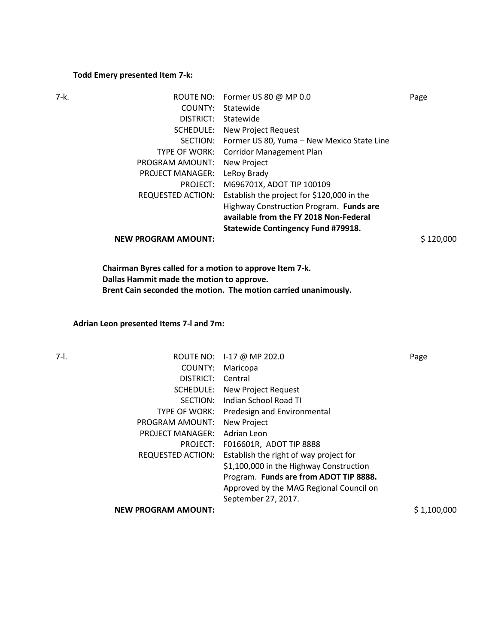### **Todd Emery presented Item 7-k:**

| 7-k. | ROUTE NO:                  | Former US 80 @ MP 0.0                      | Page      |
|------|----------------------------|--------------------------------------------|-----------|
|      | COUNTY:                    | Statewide                                  |           |
|      | DISTRICT:                  | Statewide                                  |           |
|      | SCHEDULE:                  | New Project Request                        |           |
|      | SECTION:                   | Former US 80, Yuma – New Mexico State Line |           |
|      | <b>TYPE OF WORK:</b>       | <b>Corridor Management Plan</b>            |           |
|      | PROGRAM AMOUNT:            | New Project                                |           |
|      | <b>PROJECT MANAGER:</b>    | LeRoy Brady                                |           |
|      | PROJECT:                   | M696701X, ADOT TIP 100109                  |           |
|      | <b>REQUESTED ACTION:</b>   | Establish the project for \$120,000 in the |           |
|      |                            | Highway Construction Program. Funds are    |           |
|      |                            | available from the FY 2018 Non-Federal     |           |
|      |                            | <b>Statewide Contingency Fund #79918.</b>  |           |
|      | <b>NEW PROGRAM AMOUNT:</b> |                                            | \$120,000 |

**Chairman Byres called for a motion to approve Item 7-k. Dallas Hammit made the motion to approve. Brent Cain seconded the motion. The motion carried unanimously.** 

## **Adrian Leon presented Items 7-l and 7m:**

| 7-I. |                            | ROUTE NO: 1-17 @ MP 202.0               | Page        |
|------|----------------------------|-----------------------------------------|-------------|
|      | COUNTY:                    | Maricopa                                |             |
|      | DISTRICT:                  | Central                                 |             |
|      | SCHEDULE:                  | New Project Request                     |             |
|      | SECTION:                   | Indian School Road TI                   |             |
|      | TYPE OF WORK:              | Predesign and Environmental             |             |
|      | PROGRAM AMOUNT:            | New Project                             |             |
|      | <b>PROJECT MANAGER:</b>    | Adrian Leon                             |             |
|      | PROJECT:                   | F016601R, ADOT TIP 8888                 |             |
|      | <b>REQUESTED ACTION:</b>   | Establish the right of way project for  |             |
|      |                            | \$1,100,000 in the Highway Construction |             |
|      |                            | Program. Funds are from ADOT TIP 8888.  |             |
|      |                            | Approved by the MAG Regional Council on |             |
|      |                            | September 27, 2017.                     |             |
|      | <b>NEW PROGRAM AMOUNT:</b> |                                         | \$1,100,000 |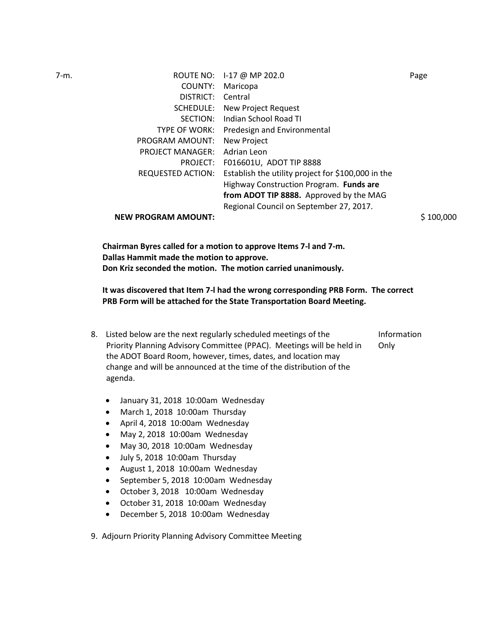| 7-m. |                            | ROUTE NO: 1-17 @ MP 202.0                          | Page      |
|------|----------------------------|----------------------------------------------------|-----------|
|      | COUNTY:                    | Maricopa                                           |           |
|      | DISTRICT:                  | Central                                            |           |
|      | SCHEDULE:                  | New Project Request                                |           |
|      | SECTION:                   | Indian School Road TI                              |           |
|      | TYPE OF WORK:              | Predesign and Environmental                        |           |
|      | PROGRAM AMOUNT:            | New Project                                        |           |
|      | <b>PROJECT MANAGER:</b>    | Adrian Leon                                        |           |
|      | PROJECT:                   | F016601U, ADOT TIP 8888                            |           |
|      | <b>REQUESTED ACTION:</b>   | Establish the utility project for \$100,000 in the |           |
|      |                            | Highway Construction Program. Funds are            |           |
|      |                            | from ADOT TIP 8888. Approved by the MAG            |           |
|      |                            | Regional Council on September 27, 2017.            |           |
|      | <b>NEW PROGRAM AMOUNT:</b> |                                                    | \$100,000 |
|      |                            |                                                    |           |
|      |                            |                                                    |           |

**Chairman Byres called for a motion to approve Items 7-l and 7-m. Dallas Hammit made the motion to approve. Don Kriz seconded the motion. The motion carried unanimously.** 

**It was discovered that Item 7-l had the wrong corresponding PRB Form. The correct PRB Form will be attached for the State Transportation Board Meeting.** 

- 8. Listed below are the next regularly scheduled meetings of the Priority Planning Advisory Committee (PPAC). Meetings will be held in the ADOT Board Room, however, times, dates, and location may change and will be announced at the time of the distribution of the agenda. Information Only
	- January 31, 2018 10:00am Wednesday
	- March 1, 2018 10:00am Thursday
	- April 4, 2018 10:00am Wednesday
	- May 2, 2018 10:00am Wednesday
	- May 30, 2018 10:00am Wednesday
	- July 5, 2018 10:00am Thursday
	- August 1, 2018 10:00am Wednesday
	- September 5, 2018 10:00am Wednesday
	- October 3, 2018 10:00am Wednesday
	- October 31, 2018 10:00am Wednesday
	- December 5, 2018 10:00am Wednesday
- 9. Adjourn Priority Planning Advisory Committee Meeting